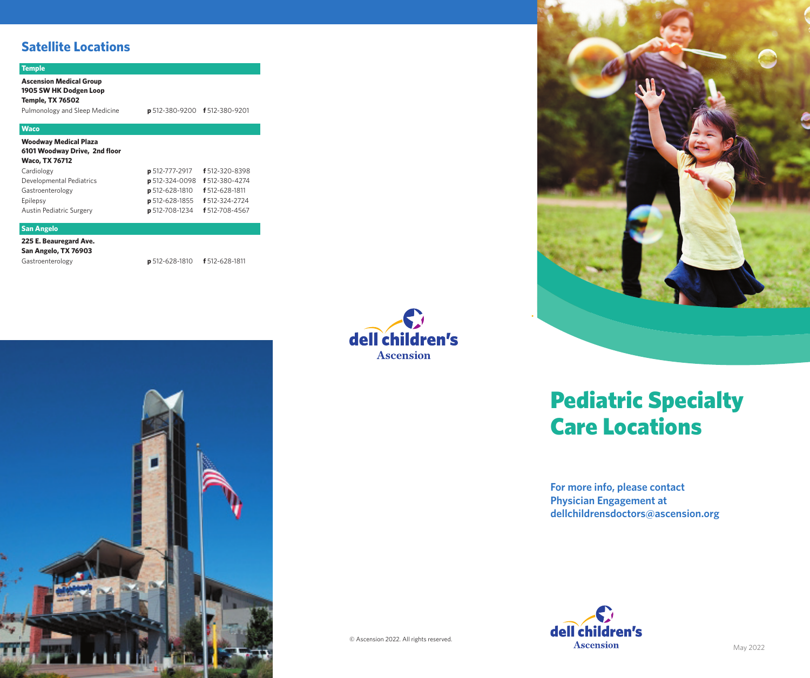# **Satellite Locations**

### **Temple**

**Ascension Medical Group 1905 SW HK Dodgen Loop Temple, TX 76502**

Pulmonology and Sleep Medicine **p** 512-380-9200 **f** 512-380-9201

### **Waco**

**Woodway Medical Plaza 6101 Woodway Drive, 2nd floor Waco, TX 76712** 

| <b>p</b> 512-777-2917 <b>f</b> 512-320-8398<br>p 512-324-0098 f 512-380-4274<br><b>p</b> 512-628-1810 <b>f</b> 512-628-1811<br><b>p</b> 512-628-1855 <b>f</b> 512-324-2724<br>p 512-708-1234 f 512-708-4567 |
|-------------------------------------------------------------------------------------------------------------------------------------------------------------------------------------------------------------|

### **San Angelo**

**225 E. Beauregard Ave. San Angelo, TX 76903**

Gastroenterology **p** 512-628-1810 **f** 512-628-1811







# Pediatric Specialty Care Locations

**For more info, please contact Physician Engagement at dellchildrensdoctors@ascension.org**